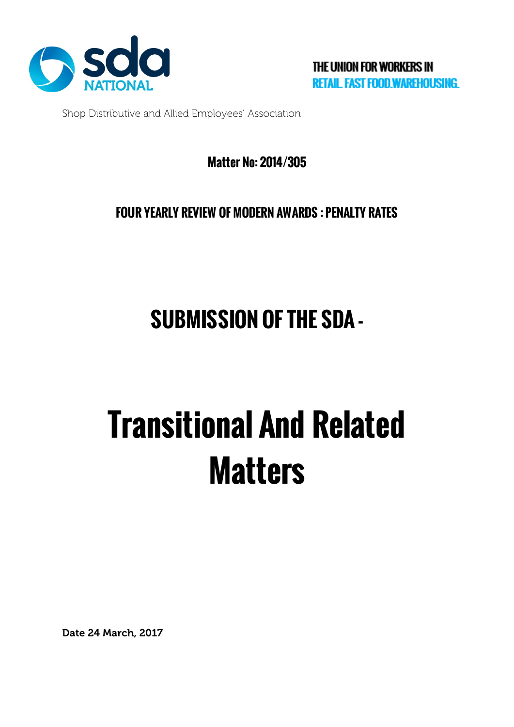

Shop Distributive and Allied Employees' Association

### **Matter No: 2014/305**

**FOUR YEARLY REVIEW OF MODERN AWARDS : PENALTY RATES**

## **SUBMISSION OF THE SDA -**

# **Transitional And Related Matters**

Date 24 March, 2017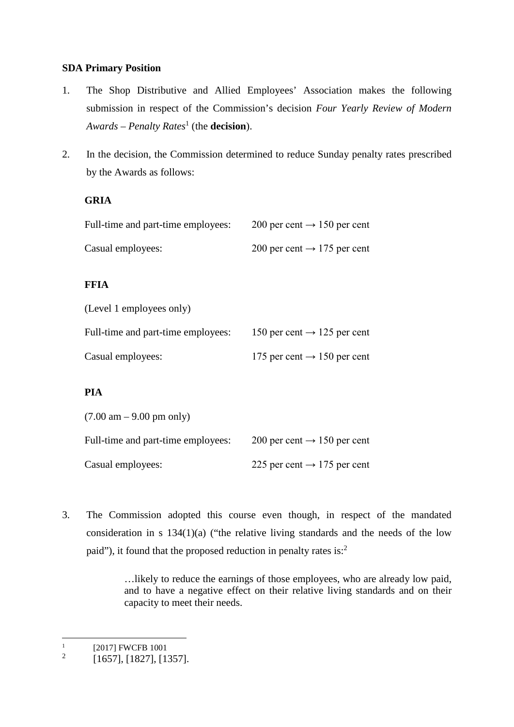#### **SDA Primary Position**

- 1. The Shop Distributive and Allied Employees' Association makes the following submission in respect of the Commission's decision *Four Yearly Review of Modern Awards – Penalty Rates*<sup>1</sup> (the **decision**).
- 2. In the decision, the Commission determined to reduce Sunday penalty rates prescribed by the Awards as follows:

#### **GRIA**

| Full-time and part-time employees: | 200 per cent $\rightarrow$ 150 per cent |
|------------------------------------|-----------------------------------------|
| Casual employees:                  | 200 per cent $\rightarrow$ 175 per cent |

#### **FFIA**

|  | (Level 1 employees only) |  |
|--|--------------------------|--|
|--|--------------------------|--|

| Full-time and part-time employees: | 150 per cent $\rightarrow$ 125 per cent |
|------------------------------------|-----------------------------------------|
| Casual employees:                  | 175 per cent $\rightarrow$ 150 per cent |

#### **PIA**

| $(7.00 \text{ am} - 9.00 \text{ pm} \text{ only})$ |                                         |
|----------------------------------------------------|-----------------------------------------|
| Full-time and part-time employees:                 | 200 per cent $\rightarrow$ 150 per cent |
| Casual employees:                                  | 225 per cent $\rightarrow$ 175 per cent |

3. The Commission adopted this course even though, in respect of the mandated consideration in s 134(1)(a) ("the relative living standards and the needs of the low paid"), it found that the proposed reduction in penalty rates is:<sup>2</sup>

> …likely to reduce the earnings of those employees, who are already low paid, and to have a negative effect on their relative living standards and on their capacity to meet their needs.

 $\frac{1}{2}$  [2017] FWCFB 1001

<sup>2</sup> [1657], [1827], [1357].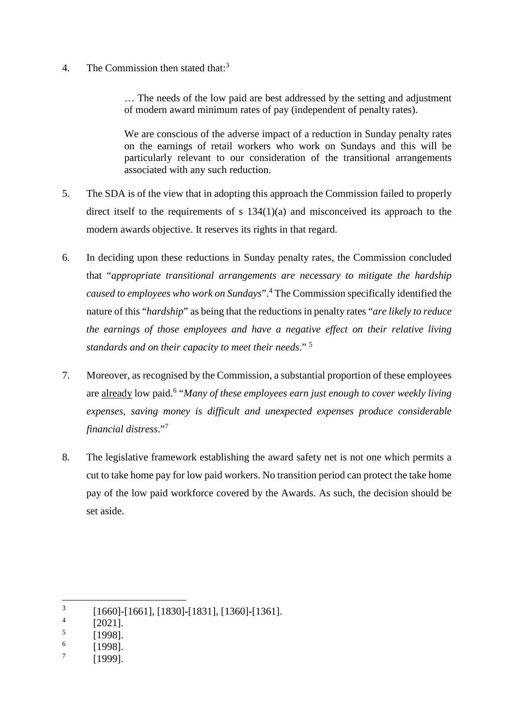4. The Commission then stated that:<sup>3</sup>

… The needs of the low paid are best addressed by the setting and adjustment of modern award minimum rates of pay (independent of penalty rates).

We are conscious of the adverse impact of a reduction in Sunday penalty rates on the earnings of retail workers who work on Sundays and this will be particularly relevant to our consideration of the transitional arrangements associated with any such reduction.

- 5. The SDA is of the view that in adopting this approach the Commission failed to properly direct itself to the requirements of s 134(1)(a) and misconceived its approach to the modern awards objective. It reserves its rights in that regard.
- 6. In deciding upon these reductions in Sunday penalty rates, the Commission concluded that "*appropriate transitional arrangements are necessary to mitigate the hardship caused to employees who work on Sundays*".<sup>4</sup> The Commission specifically identified the nature of this "*hardship*" as being that the reductions in penalty rates "*are likely to reduce the earnings of those employees and have a negative effect on their relative living standards and on their capacity to meet their needs*." <sup>5</sup>
- 7. Moreover, as recognised by the Commission, a substantial proportion of these employees are already low paid.<sup>6</sup> "*Many of these employees earn just enough to cover weekly living expenses, saving money is difficult and unexpected expenses produce considerable financial distress*."7
- 8. The legislative framework establishing the award safety net is not one which permits a cut to take home pay for low paid workers. No transition period can protect the take home pay of the low paid workforce covered by the Awards. As such, the decision should be set aside.

- $\frac{5}{6}$  [1998].
- $\frac{6}{7}$  [1998].
- [1999].

 $\frac{3}{4}$  [1660]-[1661], [1830]-[1831], [1360]-[1361].

 $\frac{4}{5}$  [2021].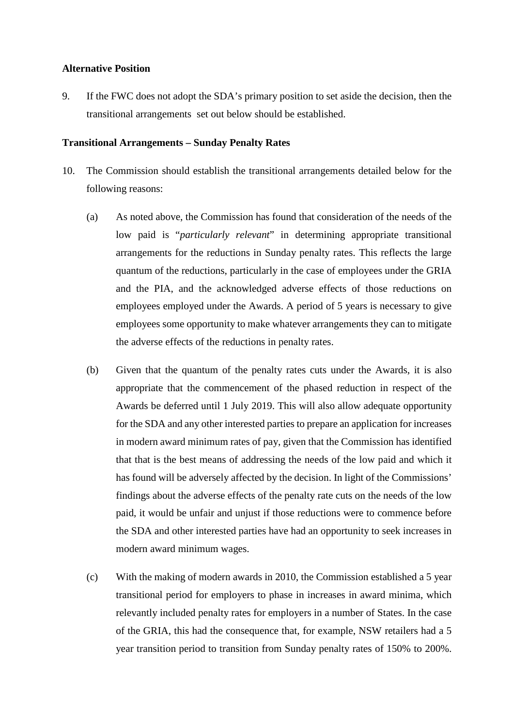#### **Alternative Position**

9. If the FWC does not adopt the SDA's primary position to set aside the decision, then the transitional arrangements set out below should be established.

#### **Transitional Arrangements – Sunday Penalty Rates**

- 10. The Commission should establish the transitional arrangements detailed below for the following reasons:
	- (a) As noted above, the Commission has found that consideration of the needs of the low paid is "*particularly relevant*" in determining appropriate transitional arrangements for the reductions in Sunday penalty rates. This reflects the large quantum of the reductions, particularly in the case of employees under the GRIA and the PIA, and the acknowledged adverse effects of those reductions on employees employed under the Awards. A period of 5 years is necessary to give employees some opportunity to make whatever arrangements they can to mitigate the adverse effects of the reductions in penalty rates.
	- (b) Given that the quantum of the penalty rates cuts under the Awards, it is also appropriate that the commencement of the phased reduction in respect of the Awards be deferred until 1 July 2019. This will also allow adequate opportunity for the SDA and any other interested parties to prepare an application for increases in modern award minimum rates of pay, given that the Commission has identified that that is the best means of addressing the needs of the low paid and which it has found will be adversely affected by the decision. In light of the Commissions' findings about the adverse effects of the penalty rate cuts on the needs of the low paid, it would be unfair and unjust if those reductions were to commence before the SDA and other interested parties have had an opportunity to seek increases in modern award minimum wages.
	- (c) With the making of modern awards in 2010, the Commission established a 5 year transitional period for employers to phase in increases in award minima, which relevantly included penalty rates for employers in a number of States. In the case of the GRIA, this had the consequence that, for example, NSW retailers had a 5 year transition period to transition from Sunday penalty rates of 150% to 200%.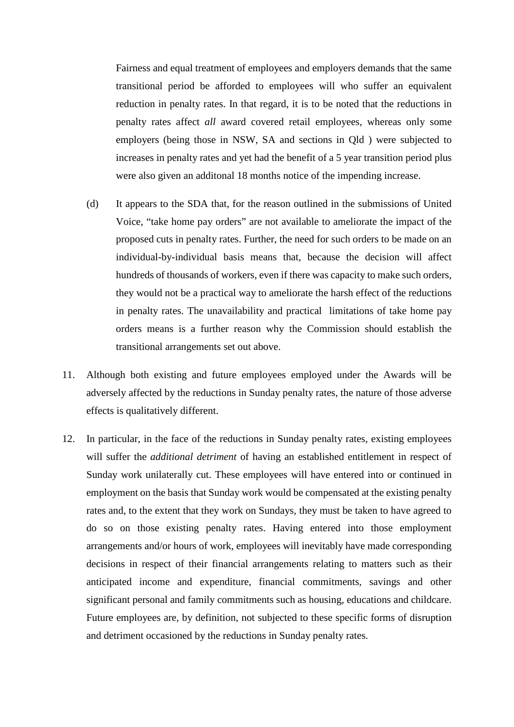Fairness and equal treatment of employees and employers demands that the same transitional period be afforded to employees will who suffer an equivalent reduction in penalty rates. In that regard, it is to be noted that the reductions in penalty rates affect *all* award covered retail employees, whereas only some employers (being those in NSW, SA and sections in Qld ) were subjected to increases in penalty rates and yet had the benefit of a 5 year transition period plus were also given an additonal 18 months notice of the impending increase.

- (d) It appears to the SDA that, for the reason outlined in the submissions of United Voice, "take home pay orders" are not available to ameliorate the impact of the proposed cuts in penalty rates. Further, the need for such orders to be made on an individual-by-individual basis means that, because the decision will affect hundreds of thousands of workers, even if there was capacity to make such orders, they would not be a practical way to ameliorate the harsh effect of the reductions in penalty rates. The unavailability and practical limitations of take home pay orders means is a further reason why the Commission should establish the transitional arrangements set out above.
- 11. Although both existing and future employees employed under the Awards will be adversely affected by the reductions in Sunday penalty rates, the nature of those adverse effects is qualitatively different.
- 12. In particular, in the face of the reductions in Sunday penalty rates, existing employees will suffer the *additional detriment* of having an established entitlement in respect of Sunday work unilaterally cut. These employees will have entered into or continued in employment on the basis that Sunday work would be compensated at the existing penalty rates and, to the extent that they work on Sundays, they must be taken to have agreed to do so on those existing penalty rates. Having entered into those employment arrangements and/or hours of work, employees will inevitably have made corresponding decisions in respect of their financial arrangements relating to matters such as their anticipated income and expenditure, financial commitments, savings and other significant personal and family commitments such as housing, educations and childcare. Future employees are, by definition, not subjected to these specific forms of disruption and detriment occasioned by the reductions in Sunday penalty rates.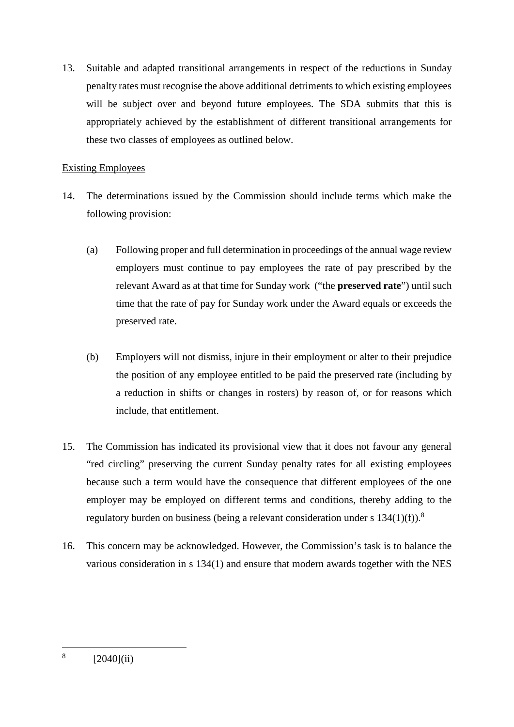13. Suitable and adapted transitional arrangements in respect of the reductions in Sunday penalty rates must recognise the above additional detriments to which existing employees will be subject over and beyond future employees. The SDA submits that this is appropriately achieved by the establishment of different transitional arrangements for these two classes of employees as outlined below.

#### Existing Employees

- 14. The determinations issued by the Commission should include terms which make the following provision:
	- (a) Following proper and full determination in proceedings of the annual wage review employers must continue to pay employees the rate of pay prescribed by the relevant Award as at that time for Sunday work ("the **preserved rate**") until such time that the rate of pay for Sunday work under the Award equals or exceeds the preserved rate.
	- (b) Employers will not dismiss, injure in their employment or alter to their prejudice the position of any employee entitled to be paid the preserved rate (including by a reduction in shifts or changes in rosters) by reason of, or for reasons which include, that entitlement.
- 15. The Commission has indicated its provisional view that it does not favour any general "red circling" preserving the current Sunday penalty rates for all existing employees because such a term would have the consequence that different employees of the one employer may be employed on different terms and conditions, thereby adding to the regulatory burden on business (being a relevant consideration under s  $134(1)(f)$ ).<sup>8</sup>
- 16. This concern may be acknowledged. However, the Commission's task is to balance the various consideration in s 134(1) and ensure that modern awards together with the NES

 $8 \qquad [2040]$ (ii)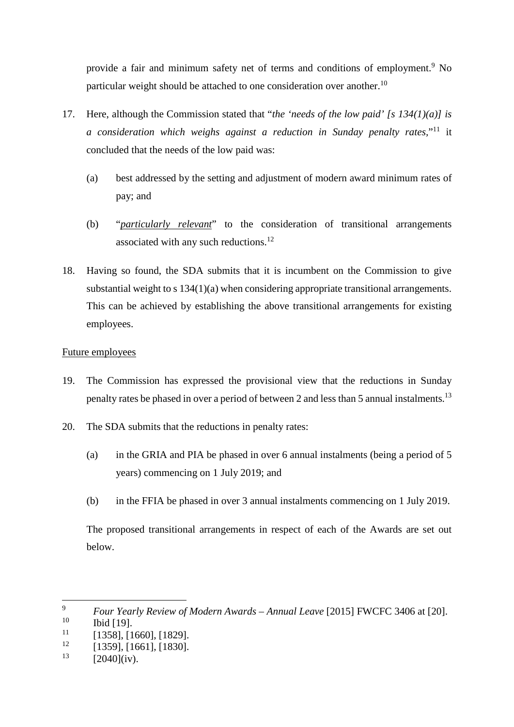provide a fair and minimum safety net of terms and conditions of employment.<sup>9</sup> No particular weight should be attached to one consideration over another.<sup>10</sup>

- 17. Here, although the Commission stated that "*the 'needs of the low paid' [s 134(1)(a)] is a consideration which weighs against a reduction in Sunday penalty rates,*"11 it concluded that the needs of the low paid was:
	- (a) best addressed by the setting and adjustment of modern award minimum rates of pay; and
	- (b) "*particularly relevant*" to the consideration of transitional arrangements associated with any such reductions.<sup>12</sup>
- 18. Having so found, the SDA submits that it is incumbent on the Commission to give substantial weight to s 134(1)(a) when considering appropriate transitional arrangements. This can be achieved by establishing the above transitional arrangements for existing employees.

#### Future employees

- 19. The Commission has expressed the provisional view that the reductions in Sunday penalty rates be phased in over a period of between 2 and less than 5 annual instalments.13
- 20. The SDA submits that the reductions in penalty rates:
	- (a) in the GRIA and PIA be phased in over 6 annual instalments (being a period of 5 years) commencing on 1 July 2019; and
	- (b) in the FFIA be phased in over 3 annual instalments commencing on 1 July 2019.

The proposed transitional arrangements in respect of each of the Awards are set out below.

 <sup>9</sup> *Four Yearly Review of Modern Awards – Annual Leave* [2015] FWCFC 3406 at [20].

 $\begin{array}{cc} 10 & \text{Ibid [19].} \\ 11 & \text{I12591 I1} \end{array}$ 

 $\frac{11}{12}$  [1358], [1660], [1829].

 $\frac{12}{13}$  [1359], [1661], [1830].

 $[2040]$ (iv).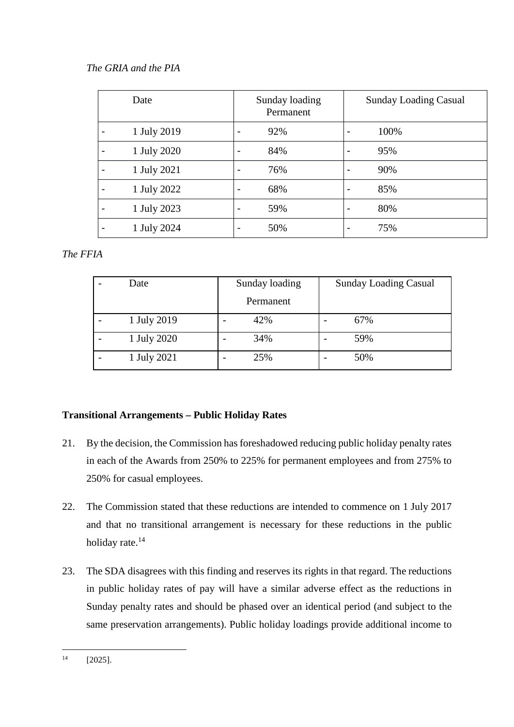#### *The GRIA and the PIA*

| Date        | Sunday loading<br>Permanent |                          | <b>Sunday Loading Casual</b> |
|-------------|-----------------------------|--------------------------|------------------------------|
| 1 July 2019 | 92%                         |                          | 100%                         |
| 1 July 2020 | 84%                         | $\overline{\phantom{a}}$ | 95%                          |
| 1 July 2021 | 76%                         | $\blacksquare$           | 90%                          |
| 1 July 2022 | 68%                         | $\blacksquare$           | 85%                          |
| 1 July 2023 | 59%                         | $\blacksquare$           | 80%                          |
| 1 July 2024 | 50%                         |                          | 75%                          |

#### *The FFIA*

| Date        | Sunday loading                  | <b>Sunday Loading Casual</b>    |  |  |
|-------------|---------------------------------|---------------------------------|--|--|
|             | Permanent                       |                                 |  |  |
| 1 July 2019 | 42%<br>$\overline{\phantom{0}}$ | 67%<br>$\overline{\phantom{0}}$ |  |  |
| 1 July 2020 | 34%<br>$\overline{\phantom{0}}$ | 59%<br>-                        |  |  |
| 1 July 2021 | 25%<br>$\overline{\phantom{0}}$ | 50%<br>$\overline{\phantom{0}}$ |  |  |

#### **Transitional Arrangements – Public Holiday Rates**

- 21. By the decision, the Commission has foreshadowed reducing public holiday penalty rates in each of the Awards from 250% to 225% for permanent employees and from 275% to 250% for casual employees.
- 22. The Commission stated that these reductions are intended to commence on 1 July 2017 and that no transitional arrangement is necessary for these reductions in the public holiday rate.<sup>14</sup>
- 23. The SDA disagrees with this finding and reserves its rights in that regard. The reductions in public holiday rates of pay will have a similar adverse effect as the reductions in Sunday penalty rates and should be phased over an identical period (and subject to the same preservation arrangements). Public holiday loadings provide additional income to

 $^{14}$  [2025].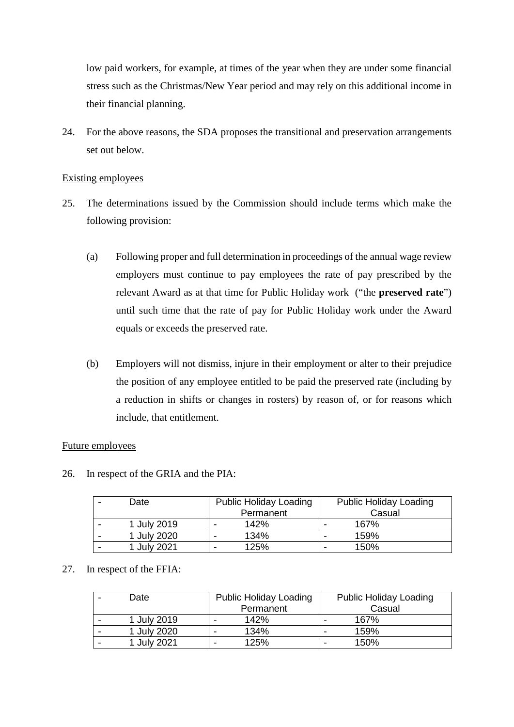low paid workers, for example, at times of the year when they are under some financial stress such as the Christmas/New Year period and may rely on this additional income in their financial planning.

24. For the above reasons, the SDA proposes the transitional and preservation arrangements set out below.

#### Existing employees

- 25. The determinations issued by the Commission should include terms which make the following provision:
	- (a) Following proper and full determination in proceedings of the annual wage review employers must continue to pay employees the rate of pay prescribed by the relevant Award as at that time for Public Holiday work ("the **preserved rate**") until such time that the rate of pay for Public Holiday work under the Award equals or exceeds the preserved rate.
	- (b) Employers will not dismiss, injure in their employment or alter to their prejudice the position of any employee entitled to be paid the preserved rate (including by a reduction in shifts or changes in rosters) by reason of, or for reasons which include, that entitlement.

#### Future employees

26. In respect of the GRIA and the PIA:

| Date        | <b>Public Holiday Loading</b> | <b>Public Holiday Loading</b> |
|-------------|-------------------------------|-------------------------------|
|             | Permanent                     | Casual                        |
| 1 July 2019 | 142%<br>-                     | 167%<br>$\,$                  |
| 1 July 2020 | 134%<br>-                     | 159%<br>-                     |
| 1 July 2021 | 125%<br>-                     | 150%<br>-                     |

#### 27. In respect of the FFIA:

| Date        |   | <b>Public Holiday Loading</b> |   | <b>Public Holiday Loading</b> |
|-------------|---|-------------------------------|---|-------------------------------|
|             |   | Permanent                     |   | Casual                        |
| 1 July 2019 |   | 142%                          |   | 167%                          |
| 1 July 2020 | - | 134%                          | - | 159%                          |
| 1 July 2021 | - | 125%                          | - | 150%                          |